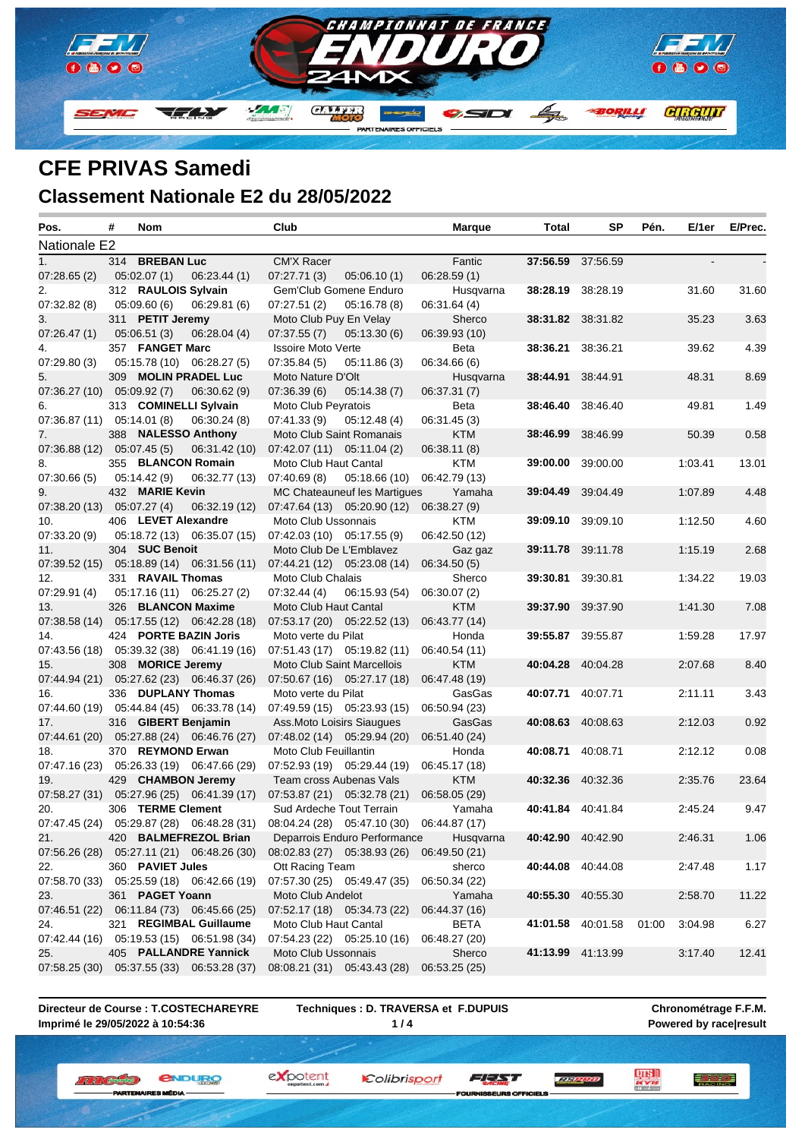

### **CFE PRIVAS Samedi Classement Nationale E2 du 28/05/2022**

| Nationale E2<br><b>CM'X Racer</b><br>314 BREBAN Luc<br>Fantic<br>37:56.59 37:56.59<br>05:02.07(1)<br>06:23.44(1)<br>07:27.71(3)<br>06:28.59(1)<br>05:06.10(1)<br>312 RAULOIS Sylvain<br>Gem'Club Gomene Enduro<br>38:28.19 38:28.19<br>31.60<br>31.60<br>Husqvarna<br>05:09.60(6)<br>06:29.81(6)<br>07:27.51(2)<br>05:16.78(8)<br>06:31.64 (4)<br>3.63<br>311 PETIT Jeremy<br>Moto Club Puy En Velay<br>38:31.82 38:31.82<br>35.23<br>Sherco<br>07:37.55(7)<br>05:13.30(6)<br>06:39.93 (10)<br>05:06.51(3)<br>06:28.04(4)<br>357 FANGET Marc<br>38:36.21 38:36.21<br>4.39<br>39.62<br><b>Issoire Moto Verte</b><br>Beta<br>07:35.84(5)<br>06:34.66 (6)<br>05:15.78 (10) 06:28.27 (5)<br>05:11.86(3)<br>309 MOLIN PRADEL Luc<br>Moto Nature D'Olt<br>38:44.91<br>38:44.91<br>8.69<br>Husqvarna<br>48.31<br>07:36.27 (10) 05:09.92 (7)<br>06:30.62(9)<br>07:36.39(6)<br>05:14.38(7)<br>06:37.31 (7)<br>1.49<br>313 COMINELLI Sylvain<br>Moto Club Peyratois<br>Beta<br><b>38:46.40</b> 38:46.40<br>49.81<br>07:36.87 (11) 05:14.01 (8)<br>06:30.24(8)<br>07:41.33(9)<br>06:31.45 (3)<br>05:12.48(4)<br>388 NALESSO Anthony<br>Moto Club Saint Romanais<br><b>KTM</b><br>38:46.99<br>38:46.99<br>50.39<br>0.58<br>07:36.88 (12) 05:07.45 (5)<br>06:31.42 (10)<br>07:42.07 (11) 05:11.04 (2)<br>06:38.11 (8)<br>355 BLANCON Romain<br>Moto Club Haut Cantal<br><b>KTM</b><br>39:00.00<br>1:03.41<br>13.01<br>39:00.00<br>05:14.42(9)<br>07:40.69(8)<br>06:42.79 (13)<br>06:32.77 (13)<br>05:18.66(10)<br>4.48<br>432 MARIE Kevin<br>MC Chateauneuf les Martigues<br>39:04.49<br>1:07.89<br>Yamaha<br>39:04.49<br>07:38.20 (13) 05:07.27 (4)<br>06:38.27 (9)<br>06:32.19 (12)<br>07:47.64 (13) 05:20.90 (12)<br>406 LEVET Alexandre<br>Moto Club Ussonnais<br><b>KTM</b><br><b>39:09.10</b> 39:09.10<br>1:12.50<br>4.60<br>$05:18.72(13)$ $06:35.07(15)$<br>$07:42.03(10)$ $05:17.55(9)$<br>06:42.50 (12)<br>304 SUC Benoit<br>Moto Club De L'Emblavez<br>39:11.78 39:11.78<br>2.68<br>Gaz gaz<br>1:15.19<br>$07:39.52(15)$ $05:18.89(14)$ $06:31.56(11)$<br>07:44.21 (12) 05:23.08 (14)<br>06:34.50(5)<br>19.03<br>331 RAVAIL Thomas<br>39:30.81<br>39:30.81<br>1:34.22<br>Moto Club Chalais<br>Sherco<br>05:17.16 (11) 06:25.27 (2)<br>06:30.07 (2)<br>07:32.44 (4)<br>06:15.93 (54)<br>7.08<br>326 BLANCON Maxime<br>Moto Club Haut Cantal<br>39:37.90<br>39:37.90<br>1:41.30<br><b>KTM</b><br>07:38.58 (14) 05:17.55 (12) 06:42.28 (18)<br>07:53.17 (20) 05:22.52 (13)<br>06:43.77 (14)<br>424 PORTE BAZIN Joris<br>39:55.87 39:55.87<br>1:59.28<br>17.97<br>Moto verte du Pilat<br>Honda<br>06:40.54 (11)<br>$07.43.56(18)$ $05.39.32(38)$ $06.41.19(16)$<br>$07:51.43(17)$ $05:19.82(11)$<br>308 MORICE Jeremy<br>8.40<br><b>KTM</b><br>40:04.28 40:04.28<br>Moto Club Saint Marcellois<br>2:07.68<br>07:44.94 (21) 05:27.62 (23) 06:46.37 (26)<br>07:50.67 (16) 05:27.17 (18)<br>06:47.48 (19)<br>336 DUPLANY Thomas<br>3.43<br>Moto verte du Pilat<br>GasGas<br>40:07.71 40:07.71<br>2:11.11<br>07:44.60 (19) 05:44.84 (45) 06:33.78 (14)<br>07:49.59 (15) 05:23.93 (15)<br>06:50.94 (23)<br>0.92<br>316 GIBERT Benjamin<br>Ass. Moto Loisirs Siaugues<br>40:08.63<br>40:08.63<br>2:12.03<br>GasGas<br>07:44.61 (20) 05:27.88 (24) 06:46.76 (27)<br>07:48.02 (14) 05:29.94 (20)<br>06:51.40 (24)<br>370 REYMOND Erwan<br>Moto Club Feuillantin<br>40:08.71 40:08.71<br>0.08<br>Honda<br>2:12.12<br>07:47.16 (23) 05:26.33 (19) 06:47.66 (29)<br>07:52.93 (19) 05:29.44 (19)<br>06:45.17 (18)<br>429 CHAMBON Jeremy<br>Team cross Aubenas Vals<br><b>KTM</b><br>40:32.36 40:32.36<br>2:35.76<br>23.64<br>07:58.27 (31) 05:27.96 (25) 06:41.39 (17)<br>07:53.87 (21) 05:32.78 (21)<br>06:58.05 (29)<br>306 TERME Clement<br>Sud Ardeche Tout Terrain<br>40:41.84 40:41.84<br>9.47<br>Yamaha<br>2:45.24<br>07:47.45 (24) 05:29.87 (28) 06:48.28 (31) 08:04.24 (28) 05:47.10 (30) 06:44.87 (17)<br>420 BALMEFREZOL Brian<br>Deparrois Enduro Performance<br>2:46.31<br>1.06<br>Husqvarna<br><b>40:42.90</b> 40:42.90<br>07:56.26 (28) 05:27.11 (21) 06:48.26 (30)<br>08:02.83 (27) 05:38.93 (26)<br>06:49.50 (21)<br>40:44.08 40:44.08<br>360 PAVIET Jules<br>Ott Racing Team<br>sherco<br>2:47.48<br>1.17<br>07:58.70 (33) 05:25.59 (18) 06:42.66 (19)<br>07:57.30 (25) 05:49.47 (35)<br>06:50.34 (22)<br>361 PAGET Yoann<br>40:55.30 40:55.30 | Pos.        | # | Nom | Club              | <b>Marque</b> | Total | SP | Pén. | E/1er   | E/Prec. |
|------------------------------------------------------------------------------------------------------------------------------------------------------------------------------------------------------------------------------------------------------------------------------------------------------------------------------------------------------------------------------------------------------------------------------------------------------------------------------------------------------------------------------------------------------------------------------------------------------------------------------------------------------------------------------------------------------------------------------------------------------------------------------------------------------------------------------------------------------------------------------------------------------------------------------------------------------------------------------------------------------------------------------------------------------------------------------------------------------------------------------------------------------------------------------------------------------------------------------------------------------------------------------------------------------------------------------------------------------------------------------------------------------------------------------------------------------------------------------------------------------------------------------------------------------------------------------------------------------------------------------------------------------------------------------------------------------------------------------------------------------------------------------------------------------------------------------------------------------------------------------------------------------------------------------------------------------------------------------------------------------------------------------------------------------------------------------------------------------------------------------------------------------------------------------------------------------------------------------------------------------------------------------------------------------------------------------------------------------------------------------------------------------------------------------------------------------------------------------------------------------------------------------------------------------------------------------------------------------------------------------------------------------------------------------------------------------------------------------------------------------------------------------------------------------------------------------------------------------------------------------------------------------------------------------------------------------------------------------------------------------------------------------------------------------------------------------------------------------------------------------------------------------------------------------------------------------------------------------------------------------------------------------------------------------------------------------------------------------------------------------------------------------------------------------------------------------------------------------------------------------------------------------------------------------------------------------------------------------------------------------------------------------------------------------------------------------------------------------------------------------------------------------------------------------------------------------------------------------------------------------------------------------------------------------------------------------------------------------------------------------------------------------------------------------------------------------------------------------------------------------------------------------------------------------------------------------------------------------------------------------------------------------------------------------------------------------------------------|-------------|---|-----|-------------------|---------------|-------|----|------|---------|---------|
|                                                                                                                                                                                                                                                                                                                                                                                                                                                                                                                                                                                                                                                                                                                                                                                                                                                                                                                                                                                                                                                                                                                                                                                                                                                                                                                                                                                                                                                                                                                                                                                                                                                                                                                                                                                                                                                                                                                                                                                                                                                                                                                                                                                                                                                                                                                                                                                                                                                                                                                                                                                                                                                                                                                                                                                                                                                                                                                                                                                                                                                                                                                                                                                                                                                                                                                                                                                                                                                                                                                                                                                                                                                                                                                                                                                                                                                                                                                                                                                                                                                                                                                                                                                                                                                                                                                                                |             |   |     |                   |               |       |    |      |         |         |
|                                                                                                                                                                                                                                                                                                                                                                                                                                                                                                                                                                                                                                                                                                                                                                                                                                                                                                                                                                                                                                                                                                                                                                                                                                                                                                                                                                                                                                                                                                                                                                                                                                                                                                                                                                                                                                                                                                                                                                                                                                                                                                                                                                                                                                                                                                                                                                                                                                                                                                                                                                                                                                                                                                                                                                                                                                                                                                                                                                                                                                                                                                                                                                                                                                                                                                                                                                                                                                                                                                                                                                                                                                                                                                                                                                                                                                                                                                                                                                                                                                                                                                                                                                                                                                                                                                                                                | 1.          |   |     |                   |               |       |    |      |         |         |
|                                                                                                                                                                                                                                                                                                                                                                                                                                                                                                                                                                                                                                                                                                                                                                                                                                                                                                                                                                                                                                                                                                                                                                                                                                                                                                                                                                                                                                                                                                                                                                                                                                                                                                                                                                                                                                                                                                                                                                                                                                                                                                                                                                                                                                                                                                                                                                                                                                                                                                                                                                                                                                                                                                                                                                                                                                                                                                                                                                                                                                                                                                                                                                                                                                                                                                                                                                                                                                                                                                                                                                                                                                                                                                                                                                                                                                                                                                                                                                                                                                                                                                                                                                                                                                                                                                                                                | 07:28.65(2) |   |     |                   |               |       |    |      |         |         |
|                                                                                                                                                                                                                                                                                                                                                                                                                                                                                                                                                                                                                                                                                                                                                                                                                                                                                                                                                                                                                                                                                                                                                                                                                                                                                                                                                                                                                                                                                                                                                                                                                                                                                                                                                                                                                                                                                                                                                                                                                                                                                                                                                                                                                                                                                                                                                                                                                                                                                                                                                                                                                                                                                                                                                                                                                                                                                                                                                                                                                                                                                                                                                                                                                                                                                                                                                                                                                                                                                                                                                                                                                                                                                                                                                                                                                                                                                                                                                                                                                                                                                                                                                                                                                                                                                                                                                | 2.          |   |     |                   |               |       |    |      |         |         |
|                                                                                                                                                                                                                                                                                                                                                                                                                                                                                                                                                                                                                                                                                                                                                                                                                                                                                                                                                                                                                                                                                                                                                                                                                                                                                                                                                                                                                                                                                                                                                                                                                                                                                                                                                                                                                                                                                                                                                                                                                                                                                                                                                                                                                                                                                                                                                                                                                                                                                                                                                                                                                                                                                                                                                                                                                                                                                                                                                                                                                                                                                                                                                                                                                                                                                                                                                                                                                                                                                                                                                                                                                                                                                                                                                                                                                                                                                                                                                                                                                                                                                                                                                                                                                                                                                                                                                | 07:32.82(8) |   |     |                   |               |       |    |      |         |         |
|                                                                                                                                                                                                                                                                                                                                                                                                                                                                                                                                                                                                                                                                                                                                                                                                                                                                                                                                                                                                                                                                                                                                                                                                                                                                                                                                                                                                                                                                                                                                                                                                                                                                                                                                                                                                                                                                                                                                                                                                                                                                                                                                                                                                                                                                                                                                                                                                                                                                                                                                                                                                                                                                                                                                                                                                                                                                                                                                                                                                                                                                                                                                                                                                                                                                                                                                                                                                                                                                                                                                                                                                                                                                                                                                                                                                                                                                                                                                                                                                                                                                                                                                                                                                                                                                                                                                                | 3.          |   |     |                   |               |       |    |      |         |         |
|                                                                                                                                                                                                                                                                                                                                                                                                                                                                                                                                                                                                                                                                                                                                                                                                                                                                                                                                                                                                                                                                                                                                                                                                                                                                                                                                                                                                                                                                                                                                                                                                                                                                                                                                                                                                                                                                                                                                                                                                                                                                                                                                                                                                                                                                                                                                                                                                                                                                                                                                                                                                                                                                                                                                                                                                                                                                                                                                                                                                                                                                                                                                                                                                                                                                                                                                                                                                                                                                                                                                                                                                                                                                                                                                                                                                                                                                                                                                                                                                                                                                                                                                                                                                                                                                                                                                                | 07:26.47(1) |   |     |                   |               |       |    |      |         |         |
|                                                                                                                                                                                                                                                                                                                                                                                                                                                                                                                                                                                                                                                                                                                                                                                                                                                                                                                                                                                                                                                                                                                                                                                                                                                                                                                                                                                                                                                                                                                                                                                                                                                                                                                                                                                                                                                                                                                                                                                                                                                                                                                                                                                                                                                                                                                                                                                                                                                                                                                                                                                                                                                                                                                                                                                                                                                                                                                                                                                                                                                                                                                                                                                                                                                                                                                                                                                                                                                                                                                                                                                                                                                                                                                                                                                                                                                                                                                                                                                                                                                                                                                                                                                                                                                                                                                                                | 4.          |   |     |                   |               |       |    |      |         |         |
|                                                                                                                                                                                                                                                                                                                                                                                                                                                                                                                                                                                                                                                                                                                                                                                                                                                                                                                                                                                                                                                                                                                                                                                                                                                                                                                                                                                                                                                                                                                                                                                                                                                                                                                                                                                                                                                                                                                                                                                                                                                                                                                                                                                                                                                                                                                                                                                                                                                                                                                                                                                                                                                                                                                                                                                                                                                                                                                                                                                                                                                                                                                                                                                                                                                                                                                                                                                                                                                                                                                                                                                                                                                                                                                                                                                                                                                                                                                                                                                                                                                                                                                                                                                                                                                                                                                                                | 07:29.80(3) |   |     |                   |               |       |    |      |         |         |
|                                                                                                                                                                                                                                                                                                                                                                                                                                                                                                                                                                                                                                                                                                                                                                                                                                                                                                                                                                                                                                                                                                                                                                                                                                                                                                                                                                                                                                                                                                                                                                                                                                                                                                                                                                                                                                                                                                                                                                                                                                                                                                                                                                                                                                                                                                                                                                                                                                                                                                                                                                                                                                                                                                                                                                                                                                                                                                                                                                                                                                                                                                                                                                                                                                                                                                                                                                                                                                                                                                                                                                                                                                                                                                                                                                                                                                                                                                                                                                                                                                                                                                                                                                                                                                                                                                                                                | 5.          |   |     |                   |               |       |    |      |         |         |
|                                                                                                                                                                                                                                                                                                                                                                                                                                                                                                                                                                                                                                                                                                                                                                                                                                                                                                                                                                                                                                                                                                                                                                                                                                                                                                                                                                                                                                                                                                                                                                                                                                                                                                                                                                                                                                                                                                                                                                                                                                                                                                                                                                                                                                                                                                                                                                                                                                                                                                                                                                                                                                                                                                                                                                                                                                                                                                                                                                                                                                                                                                                                                                                                                                                                                                                                                                                                                                                                                                                                                                                                                                                                                                                                                                                                                                                                                                                                                                                                                                                                                                                                                                                                                                                                                                                                                |             |   |     |                   |               |       |    |      |         |         |
|                                                                                                                                                                                                                                                                                                                                                                                                                                                                                                                                                                                                                                                                                                                                                                                                                                                                                                                                                                                                                                                                                                                                                                                                                                                                                                                                                                                                                                                                                                                                                                                                                                                                                                                                                                                                                                                                                                                                                                                                                                                                                                                                                                                                                                                                                                                                                                                                                                                                                                                                                                                                                                                                                                                                                                                                                                                                                                                                                                                                                                                                                                                                                                                                                                                                                                                                                                                                                                                                                                                                                                                                                                                                                                                                                                                                                                                                                                                                                                                                                                                                                                                                                                                                                                                                                                                                                | 6.          |   |     |                   |               |       |    |      |         |         |
|                                                                                                                                                                                                                                                                                                                                                                                                                                                                                                                                                                                                                                                                                                                                                                                                                                                                                                                                                                                                                                                                                                                                                                                                                                                                                                                                                                                                                                                                                                                                                                                                                                                                                                                                                                                                                                                                                                                                                                                                                                                                                                                                                                                                                                                                                                                                                                                                                                                                                                                                                                                                                                                                                                                                                                                                                                                                                                                                                                                                                                                                                                                                                                                                                                                                                                                                                                                                                                                                                                                                                                                                                                                                                                                                                                                                                                                                                                                                                                                                                                                                                                                                                                                                                                                                                                                                                |             |   |     |                   |               |       |    |      |         |         |
|                                                                                                                                                                                                                                                                                                                                                                                                                                                                                                                                                                                                                                                                                                                                                                                                                                                                                                                                                                                                                                                                                                                                                                                                                                                                                                                                                                                                                                                                                                                                                                                                                                                                                                                                                                                                                                                                                                                                                                                                                                                                                                                                                                                                                                                                                                                                                                                                                                                                                                                                                                                                                                                                                                                                                                                                                                                                                                                                                                                                                                                                                                                                                                                                                                                                                                                                                                                                                                                                                                                                                                                                                                                                                                                                                                                                                                                                                                                                                                                                                                                                                                                                                                                                                                                                                                                                                | 7.          |   |     |                   |               |       |    |      |         |         |
|                                                                                                                                                                                                                                                                                                                                                                                                                                                                                                                                                                                                                                                                                                                                                                                                                                                                                                                                                                                                                                                                                                                                                                                                                                                                                                                                                                                                                                                                                                                                                                                                                                                                                                                                                                                                                                                                                                                                                                                                                                                                                                                                                                                                                                                                                                                                                                                                                                                                                                                                                                                                                                                                                                                                                                                                                                                                                                                                                                                                                                                                                                                                                                                                                                                                                                                                                                                                                                                                                                                                                                                                                                                                                                                                                                                                                                                                                                                                                                                                                                                                                                                                                                                                                                                                                                                                                |             |   |     |                   |               |       |    |      |         |         |
|                                                                                                                                                                                                                                                                                                                                                                                                                                                                                                                                                                                                                                                                                                                                                                                                                                                                                                                                                                                                                                                                                                                                                                                                                                                                                                                                                                                                                                                                                                                                                                                                                                                                                                                                                                                                                                                                                                                                                                                                                                                                                                                                                                                                                                                                                                                                                                                                                                                                                                                                                                                                                                                                                                                                                                                                                                                                                                                                                                                                                                                                                                                                                                                                                                                                                                                                                                                                                                                                                                                                                                                                                                                                                                                                                                                                                                                                                                                                                                                                                                                                                                                                                                                                                                                                                                                                                | 8.          |   |     |                   |               |       |    |      |         |         |
|                                                                                                                                                                                                                                                                                                                                                                                                                                                                                                                                                                                                                                                                                                                                                                                                                                                                                                                                                                                                                                                                                                                                                                                                                                                                                                                                                                                                                                                                                                                                                                                                                                                                                                                                                                                                                                                                                                                                                                                                                                                                                                                                                                                                                                                                                                                                                                                                                                                                                                                                                                                                                                                                                                                                                                                                                                                                                                                                                                                                                                                                                                                                                                                                                                                                                                                                                                                                                                                                                                                                                                                                                                                                                                                                                                                                                                                                                                                                                                                                                                                                                                                                                                                                                                                                                                                                                | 07:30.66(5) |   |     |                   |               |       |    |      |         |         |
|                                                                                                                                                                                                                                                                                                                                                                                                                                                                                                                                                                                                                                                                                                                                                                                                                                                                                                                                                                                                                                                                                                                                                                                                                                                                                                                                                                                                                                                                                                                                                                                                                                                                                                                                                                                                                                                                                                                                                                                                                                                                                                                                                                                                                                                                                                                                                                                                                                                                                                                                                                                                                                                                                                                                                                                                                                                                                                                                                                                                                                                                                                                                                                                                                                                                                                                                                                                                                                                                                                                                                                                                                                                                                                                                                                                                                                                                                                                                                                                                                                                                                                                                                                                                                                                                                                                                                | 9.          |   |     |                   |               |       |    |      |         |         |
|                                                                                                                                                                                                                                                                                                                                                                                                                                                                                                                                                                                                                                                                                                                                                                                                                                                                                                                                                                                                                                                                                                                                                                                                                                                                                                                                                                                                                                                                                                                                                                                                                                                                                                                                                                                                                                                                                                                                                                                                                                                                                                                                                                                                                                                                                                                                                                                                                                                                                                                                                                                                                                                                                                                                                                                                                                                                                                                                                                                                                                                                                                                                                                                                                                                                                                                                                                                                                                                                                                                                                                                                                                                                                                                                                                                                                                                                                                                                                                                                                                                                                                                                                                                                                                                                                                                                                |             |   |     |                   |               |       |    |      |         |         |
|                                                                                                                                                                                                                                                                                                                                                                                                                                                                                                                                                                                                                                                                                                                                                                                                                                                                                                                                                                                                                                                                                                                                                                                                                                                                                                                                                                                                                                                                                                                                                                                                                                                                                                                                                                                                                                                                                                                                                                                                                                                                                                                                                                                                                                                                                                                                                                                                                                                                                                                                                                                                                                                                                                                                                                                                                                                                                                                                                                                                                                                                                                                                                                                                                                                                                                                                                                                                                                                                                                                                                                                                                                                                                                                                                                                                                                                                                                                                                                                                                                                                                                                                                                                                                                                                                                                                                | 10.         |   |     |                   |               |       |    |      |         |         |
|                                                                                                                                                                                                                                                                                                                                                                                                                                                                                                                                                                                                                                                                                                                                                                                                                                                                                                                                                                                                                                                                                                                                                                                                                                                                                                                                                                                                                                                                                                                                                                                                                                                                                                                                                                                                                                                                                                                                                                                                                                                                                                                                                                                                                                                                                                                                                                                                                                                                                                                                                                                                                                                                                                                                                                                                                                                                                                                                                                                                                                                                                                                                                                                                                                                                                                                                                                                                                                                                                                                                                                                                                                                                                                                                                                                                                                                                                                                                                                                                                                                                                                                                                                                                                                                                                                                                                | 07:33.20(9) |   |     |                   |               |       |    |      |         |         |
|                                                                                                                                                                                                                                                                                                                                                                                                                                                                                                                                                                                                                                                                                                                                                                                                                                                                                                                                                                                                                                                                                                                                                                                                                                                                                                                                                                                                                                                                                                                                                                                                                                                                                                                                                                                                                                                                                                                                                                                                                                                                                                                                                                                                                                                                                                                                                                                                                                                                                                                                                                                                                                                                                                                                                                                                                                                                                                                                                                                                                                                                                                                                                                                                                                                                                                                                                                                                                                                                                                                                                                                                                                                                                                                                                                                                                                                                                                                                                                                                                                                                                                                                                                                                                                                                                                                                                | 11.         |   |     |                   |               |       |    |      |         |         |
|                                                                                                                                                                                                                                                                                                                                                                                                                                                                                                                                                                                                                                                                                                                                                                                                                                                                                                                                                                                                                                                                                                                                                                                                                                                                                                                                                                                                                                                                                                                                                                                                                                                                                                                                                                                                                                                                                                                                                                                                                                                                                                                                                                                                                                                                                                                                                                                                                                                                                                                                                                                                                                                                                                                                                                                                                                                                                                                                                                                                                                                                                                                                                                                                                                                                                                                                                                                                                                                                                                                                                                                                                                                                                                                                                                                                                                                                                                                                                                                                                                                                                                                                                                                                                                                                                                                                                |             |   |     |                   |               |       |    |      |         |         |
|                                                                                                                                                                                                                                                                                                                                                                                                                                                                                                                                                                                                                                                                                                                                                                                                                                                                                                                                                                                                                                                                                                                                                                                                                                                                                                                                                                                                                                                                                                                                                                                                                                                                                                                                                                                                                                                                                                                                                                                                                                                                                                                                                                                                                                                                                                                                                                                                                                                                                                                                                                                                                                                                                                                                                                                                                                                                                                                                                                                                                                                                                                                                                                                                                                                                                                                                                                                                                                                                                                                                                                                                                                                                                                                                                                                                                                                                                                                                                                                                                                                                                                                                                                                                                                                                                                                                                | 12.         |   |     |                   |               |       |    |      |         |         |
|                                                                                                                                                                                                                                                                                                                                                                                                                                                                                                                                                                                                                                                                                                                                                                                                                                                                                                                                                                                                                                                                                                                                                                                                                                                                                                                                                                                                                                                                                                                                                                                                                                                                                                                                                                                                                                                                                                                                                                                                                                                                                                                                                                                                                                                                                                                                                                                                                                                                                                                                                                                                                                                                                                                                                                                                                                                                                                                                                                                                                                                                                                                                                                                                                                                                                                                                                                                                                                                                                                                                                                                                                                                                                                                                                                                                                                                                                                                                                                                                                                                                                                                                                                                                                                                                                                                                                | 07:29.91(4) |   |     |                   |               |       |    |      |         |         |
|                                                                                                                                                                                                                                                                                                                                                                                                                                                                                                                                                                                                                                                                                                                                                                                                                                                                                                                                                                                                                                                                                                                                                                                                                                                                                                                                                                                                                                                                                                                                                                                                                                                                                                                                                                                                                                                                                                                                                                                                                                                                                                                                                                                                                                                                                                                                                                                                                                                                                                                                                                                                                                                                                                                                                                                                                                                                                                                                                                                                                                                                                                                                                                                                                                                                                                                                                                                                                                                                                                                                                                                                                                                                                                                                                                                                                                                                                                                                                                                                                                                                                                                                                                                                                                                                                                                                                | 13.         |   |     |                   |               |       |    |      |         |         |
|                                                                                                                                                                                                                                                                                                                                                                                                                                                                                                                                                                                                                                                                                                                                                                                                                                                                                                                                                                                                                                                                                                                                                                                                                                                                                                                                                                                                                                                                                                                                                                                                                                                                                                                                                                                                                                                                                                                                                                                                                                                                                                                                                                                                                                                                                                                                                                                                                                                                                                                                                                                                                                                                                                                                                                                                                                                                                                                                                                                                                                                                                                                                                                                                                                                                                                                                                                                                                                                                                                                                                                                                                                                                                                                                                                                                                                                                                                                                                                                                                                                                                                                                                                                                                                                                                                                                                |             |   |     |                   |               |       |    |      |         |         |
|                                                                                                                                                                                                                                                                                                                                                                                                                                                                                                                                                                                                                                                                                                                                                                                                                                                                                                                                                                                                                                                                                                                                                                                                                                                                                                                                                                                                                                                                                                                                                                                                                                                                                                                                                                                                                                                                                                                                                                                                                                                                                                                                                                                                                                                                                                                                                                                                                                                                                                                                                                                                                                                                                                                                                                                                                                                                                                                                                                                                                                                                                                                                                                                                                                                                                                                                                                                                                                                                                                                                                                                                                                                                                                                                                                                                                                                                                                                                                                                                                                                                                                                                                                                                                                                                                                                                                | 14.         |   |     |                   |               |       |    |      |         |         |
|                                                                                                                                                                                                                                                                                                                                                                                                                                                                                                                                                                                                                                                                                                                                                                                                                                                                                                                                                                                                                                                                                                                                                                                                                                                                                                                                                                                                                                                                                                                                                                                                                                                                                                                                                                                                                                                                                                                                                                                                                                                                                                                                                                                                                                                                                                                                                                                                                                                                                                                                                                                                                                                                                                                                                                                                                                                                                                                                                                                                                                                                                                                                                                                                                                                                                                                                                                                                                                                                                                                                                                                                                                                                                                                                                                                                                                                                                                                                                                                                                                                                                                                                                                                                                                                                                                                                                |             |   |     |                   |               |       |    |      |         |         |
|                                                                                                                                                                                                                                                                                                                                                                                                                                                                                                                                                                                                                                                                                                                                                                                                                                                                                                                                                                                                                                                                                                                                                                                                                                                                                                                                                                                                                                                                                                                                                                                                                                                                                                                                                                                                                                                                                                                                                                                                                                                                                                                                                                                                                                                                                                                                                                                                                                                                                                                                                                                                                                                                                                                                                                                                                                                                                                                                                                                                                                                                                                                                                                                                                                                                                                                                                                                                                                                                                                                                                                                                                                                                                                                                                                                                                                                                                                                                                                                                                                                                                                                                                                                                                                                                                                                                                | 15.         |   |     |                   |               |       |    |      |         |         |
|                                                                                                                                                                                                                                                                                                                                                                                                                                                                                                                                                                                                                                                                                                                                                                                                                                                                                                                                                                                                                                                                                                                                                                                                                                                                                                                                                                                                                                                                                                                                                                                                                                                                                                                                                                                                                                                                                                                                                                                                                                                                                                                                                                                                                                                                                                                                                                                                                                                                                                                                                                                                                                                                                                                                                                                                                                                                                                                                                                                                                                                                                                                                                                                                                                                                                                                                                                                                                                                                                                                                                                                                                                                                                                                                                                                                                                                                                                                                                                                                                                                                                                                                                                                                                                                                                                                                                |             |   |     |                   |               |       |    |      |         |         |
|                                                                                                                                                                                                                                                                                                                                                                                                                                                                                                                                                                                                                                                                                                                                                                                                                                                                                                                                                                                                                                                                                                                                                                                                                                                                                                                                                                                                                                                                                                                                                                                                                                                                                                                                                                                                                                                                                                                                                                                                                                                                                                                                                                                                                                                                                                                                                                                                                                                                                                                                                                                                                                                                                                                                                                                                                                                                                                                                                                                                                                                                                                                                                                                                                                                                                                                                                                                                                                                                                                                                                                                                                                                                                                                                                                                                                                                                                                                                                                                                                                                                                                                                                                                                                                                                                                                                                | 16.         |   |     |                   |               |       |    |      |         |         |
|                                                                                                                                                                                                                                                                                                                                                                                                                                                                                                                                                                                                                                                                                                                                                                                                                                                                                                                                                                                                                                                                                                                                                                                                                                                                                                                                                                                                                                                                                                                                                                                                                                                                                                                                                                                                                                                                                                                                                                                                                                                                                                                                                                                                                                                                                                                                                                                                                                                                                                                                                                                                                                                                                                                                                                                                                                                                                                                                                                                                                                                                                                                                                                                                                                                                                                                                                                                                                                                                                                                                                                                                                                                                                                                                                                                                                                                                                                                                                                                                                                                                                                                                                                                                                                                                                                                                                |             |   |     |                   |               |       |    |      |         |         |
|                                                                                                                                                                                                                                                                                                                                                                                                                                                                                                                                                                                                                                                                                                                                                                                                                                                                                                                                                                                                                                                                                                                                                                                                                                                                                                                                                                                                                                                                                                                                                                                                                                                                                                                                                                                                                                                                                                                                                                                                                                                                                                                                                                                                                                                                                                                                                                                                                                                                                                                                                                                                                                                                                                                                                                                                                                                                                                                                                                                                                                                                                                                                                                                                                                                                                                                                                                                                                                                                                                                                                                                                                                                                                                                                                                                                                                                                                                                                                                                                                                                                                                                                                                                                                                                                                                                                                | 17.         |   |     |                   |               |       |    |      |         |         |
|                                                                                                                                                                                                                                                                                                                                                                                                                                                                                                                                                                                                                                                                                                                                                                                                                                                                                                                                                                                                                                                                                                                                                                                                                                                                                                                                                                                                                                                                                                                                                                                                                                                                                                                                                                                                                                                                                                                                                                                                                                                                                                                                                                                                                                                                                                                                                                                                                                                                                                                                                                                                                                                                                                                                                                                                                                                                                                                                                                                                                                                                                                                                                                                                                                                                                                                                                                                                                                                                                                                                                                                                                                                                                                                                                                                                                                                                                                                                                                                                                                                                                                                                                                                                                                                                                                                                                |             |   |     |                   |               |       |    |      |         |         |
|                                                                                                                                                                                                                                                                                                                                                                                                                                                                                                                                                                                                                                                                                                                                                                                                                                                                                                                                                                                                                                                                                                                                                                                                                                                                                                                                                                                                                                                                                                                                                                                                                                                                                                                                                                                                                                                                                                                                                                                                                                                                                                                                                                                                                                                                                                                                                                                                                                                                                                                                                                                                                                                                                                                                                                                                                                                                                                                                                                                                                                                                                                                                                                                                                                                                                                                                                                                                                                                                                                                                                                                                                                                                                                                                                                                                                                                                                                                                                                                                                                                                                                                                                                                                                                                                                                                                                | 18.         |   |     |                   |               |       |    |      |         |         |
|                                                                                                                                                                                                                                                                                                                                                                                                                                                                                                                                                                                                                                                                                                                                                                                                                                                                                                                                                                                                                                                                                                                                                                                                                                                                                                                                                                                                                                                                                                                                                                                                                                                                                                                                                                                                                                                                                                                                                                                                                                                                                                                                                                                                                                                                                                                                                                                                                                                                                                                                                                                                                                                                                                                                                                                                                                                                                                                                                                                                                                                                                                                                                                                                                                                                                                                                                                                                                                                                                                                                                                                                                                                                                                                                                                                                                                                                                                                                                                                                                                                                                                                                                                                                                                                                                                                                                |             |   |     |                   |               |       |    |      |         |         |
|                                                                                                                                                                                                                                                                                                                                                                                                                                                                                                                                                                                                                                                                                                                                                                                                                                                                                                                                                                                                                                                                                                                                                                                                                                                                                                                                                                                                                                                                                                                                                                                                                                                                                                                                                                                                                                                                                                                                                                                                                                                                                                                                                                                                                                                                                                                                                                                                                                                                                                                                                                                                                                                                                                                                                                                                                                                                                                                                                                                                                                                                                                                                                                                                                                                                                                                                                                                                                                                                                                                                                                                                                                                                                                                                                                                                                                                                                                                                                                                                                                                                                                                                                                                                                                                                                                                                                | 19.         |   |     |                   |               |       |    |      |         |         |
|                                                                                                                                                                                                                                                                                                                                                                                                                                                                                                                                                                                                                                                                                                                                                                                                                                                                                                                                                                                                                                                                                                                                                                                                                                                                                                                                                                                                                                                                                                                                                                                                                                                                                                                                                                                                                                                                                                                                                                                                                                                                                                                                                                                                                                                                                                                                                                                                                                                                                                                                                                                                                                                                                                                                                                                                                                                                                                                                                                                                                                                                                                                                                                                                                                                                                                                                                                                                                                                                                                                                                                                                                                                                                                                                                                                                                                                                                                                                                                                                                                                                                                                                                                                                                                                                                                                                                |             |   |     |                   |               |       |    |      |         |         |
|                                                                                                                                                                                                                                                                                                                                                                                                                                                                                                                                                                                                                                                                                                                                                                                                                                                                                                                                                                                                                                                                                                                                                                                                                                                                                                                                                                                                                                                                                                                                                                                                                                                                                                                                                                                                                                                                                                                                                                                                                                                                                                                                                                                                                                                                                                                                                                                                                                                                                                                                                                                                                                                                                                                                                                                                                                                                                                                                                                                                                                                                                                                                                                                                                                                                                                                                                                                                                                                                                                                                                                                                                                                                                                                                                                                                                                                                                                                                                                                                                                                                                                                                                                                                                                                                                                                                                | 20.         |   |     |                   |               |       |    |      |         |         |
|                                                                                                                                                                                                                                                                                                                                                                                                                                                                                                                                                                                                                                                                                                                                                                                                                                                                                                                                                                                                                                                                                                                                                                                                                                                                                                                                                                                                                                                                                                                                                                                                                                                                                                                                                                                                                                                                                                                                                                                                                                                                                                                                                                                                                                                                                                                                                                                                                                                                                                                                                                                                                                                                                                                                                                                                                                                                                                                                                                                                                                                                                                                                                                                                                                                                                                                                                                                                                                                                                                                                                                                                                                                                                                                                                                                                                                                                                                                                                                                                                                                                                                                                                                                                                                                                                                                                                |             |   |     |                   |               |       |    |      |         |         |
|                                                                                                                                                                                                                                                                                                                                                                                                                                                                                                                                                                                                                                                                                                                                                                                                                                                                                                                                                                                                                                                                                                                                                                                                                                                                                                                                                                                                                                                                                                                                                                                                                                                                                                                                                                                                                                                                                                                                                                                                                                                                                                                                                                                                                                                                                                                                                                                                                                                                                                                                                                                                                                                                                                                                                                                                                                                                                                                                                                                                                                                                                                                                                                                                                                                                                                                                                                                                                                                                                                                                                                                                                                                                                                                                                                                                                                                                                                                                                                                                                                                                                                                                                                                                                                                                                                                                                | 21.         |   |     |                   |               |       |    |      |         |         |
|                                                                                                                                                                                                                                                                                                                                                                                                                                                                                                                                                                                                                                                                                                                                                                                                                                                                                                                                                                                                                                                                                                                                                                                                                                                                                                                                                                                                                                                                                                                                                                                                                                                                                                                                                                                                                                                                                                                                                                                                                                                                                                                                                                                                                                                                                                                                                                                                                                                                                                                                                                                                                                                                                                                                                                                                                                                                                                                                                                                                                                                                                                                                                                                                                                                                                                                                                                                                                                                                                                                                                                                                                                                                                                                                                                                                                                                                                                                                                                                                                                                                                                                                                                                                                                                                                                                                                |             |   |     |                   |               |       |    |      |         |         |
|                                                                                                                                                                                                                                                                                                                                                                                                                                                                                                                                                                                                                                                                                                                                                                                                                                                                                                                                                                                                                                                                                                                                                                                                                                                                                                                                                                                                                                                                                                                                                                                                                                                                                                                                                                                                                                                                                                                                                                                                                                                                                                                                                                                                                                                                                                                                                                                                                                                                                                                                                                                                                                                                                                                                                                                                                                                                                                                                                                                                                                                                                                                                                                                                                                                                                                                                                                                                                                                                                                                                                                                                                                                                                                                                                                                                                                                                                                                                                                                                                                                                                                                                                                                                                                                                                                                                                | 22.         |   |     |                   |               |       |    |      |         |         |
|                                                                                                                                                                                                                                                                                                                                                                                                                                                                                                                                                                                                                                                                                                                                                                                                                                                                                                                                                                                                                                                                                                                                                                                                                                                                                                                                                                                                                                                                                                                                                                                                                                                                                                                                                                                                                                                                                                                                                                                                                                                                                                                                                                                                                                                                                                                                                                                                                                                                                                                                                                                                                                                                                                                                                                                                                                                                                                                                                                                                                                                                                                                                                                                                                                                                                                                                                                                                                                                                                                                                                                                                                                                                                                                                                                                                                                                                                                                                                                                                                                                                                                                                                                                                                                                                                                                                                |             |   |     |                   |               |       |    |      |         |         |
|                                                                                                                                                                                                                                                                                                                                                                                                                                                                                                                                                                                                                                                                                                                                                                                                                                                                                                                                                                                                                                                                                                                                                                                                                                                                                                                                                                                                                                                                                                                                                                                                                                                                                                                                                                                                                                                                                                                                                                                                                                                                                                                                                                                                                                                                                                                                                                                                                                                                                                                                                                                                                                                                                                                                                                                                                                                                                                                                                                                                                                                                                                                                                                                                                                                                                                                                                                                                                                                                                                                                                                                                                                                                                                                                                                                                                                                                                                                                                                                                                                                                                                                                                                                                                                                                                                                                                | 23.         |   |     | Moto Club Andelot | Yamaha        |       |    |      | 2:58.70 | 11.22   |
| 07:46.51 (22) 06:11.84 (73) 06:45.66 (25)<br>07:52.17 (18) 05:34.73 (22)<br>06:44.37 (16)                                                                                                                                                                                                                                                                                                                                                                                                                                                                                                                                                                                                                                                                                                                                                                                                                                                                                                                                                                                                                                                                                                                                                                                                                                                                                                                                                                                                                                                                                                                                                                                                                                                                                                                                                                                                                                                                                                                                                                                                                                                                                                                                                                                                                                                                                                                                                                                                                                                                                                                                                                                                                                                                                                                                                                                                                                                                                                                                                                                                                                                                                                                                                                                                                                                                                                                                                                                                                                                                                                                                                                                                                                                                                                                                                                                                                                                                                                                                                                                                                                                                                                                                                                                                                                                      |             |   |     |                   |               |       |    |      |         |         |
| 321 REGIMBAL Guillaume<br>41:01.58 40:01.58<br>6.27<br>Moto Club Haut Cantal<br><b>BETA</b><br>01:00<br>3:04.98                                                                                                                                                                                                                                                                                                                                                                                                                                                                                                                                                                                                                                                                                                                                                                                                                                                                                                                                                                                                                                                                                                                                                                                                                                                                                                                                                                                                                                                                                                                                                                                                                                                                                                                                                                                                                                                                                                                                                                                                                                                                                                                                                                                                                                                                                                                                                                                                                                                                                                                                                                                                                                                                                                                                                                                                                                                                                                                                                                                                                                                                                                                                                                                                                                                                                                                                                                                                                                                                                                                                                                                                                                                                                                                                                                                                                                                                                                                                                                                                                                                                                                                                                                                                                                | 24.         |   |     |                   |               |       |    |      |         |         |
| 07:42.44 (16) 05:19.53 (15) 06:51.98 (34)<br>07:54.23 (22) 05:25.10 (16)<br>06:48.27 (20)                                                                                                                                                                                                                                                                                                                                                                                                                                                                                                                                                                                                                                                                                                                                                                                                                                                                                                                                                                                                                                                                                                                                                                                                                                                                                                                                                                                                                                                                                                                                                                                                                                                                                                                                                                                                                                                                                                                                                                                                                                                                                                                                                                                                                                                                                                                                                                                                                                                                                                                                                                                                                                                                                                                                                                                                                                                                                                                                                                                                                                                                                                                                                                                                                                                                                                                                                                                                                                                                                                                                                                                                                                                                                                                                                                                                                                                                                                                                                                                                                                                                                                                                                                                                                                                      |             |   |     |                   |               |       |    |      |         |         |
| 405 PALLANDRE Yannick<br>Moto Club Ussonnais<br>Sherco<br>12.41<br>41:13.99 41:13.99<br>3:17.40                                                                                                                                                                                                                                                                                                                                                                                                                                                                                                                                                                                                                                                                                                                                                                                                                                                                                                                                                                                                                                                                                                                                                                                                                                                                                                                                                                                                                                                                                                                                                                                                                                                                                                                                                                                                                                                                                                                                                                                                                                                                                                                                                                                                                                                                                                                                                                                                                                                                                                                                                                                                                                                                                                                                                                                                                                                                                                                                                                                                                                                                                                                                                                                                                                                                                                                                                                                                                                                                                                                                                                                                                                                                                                                                                                                                                                                                                                                                                                                                                                                                                                                                                                                                                                                | 25.         |   |     |                   |               |       |    |      |         |         |
| 07:58.25 (30) 05:37.55 (33) 06:53.28 (37)<br>08:08.21 (31) 05:43.43 (28)<br>06:53.25 (25)                                                                                                                                                                                                                                                                                                                                                                                                                                                                                                                                                                                                                                                                                                                                                                                                                                                                                                                                                                                                                                                                                                                                                                                                                                                                                                                                                                                                                                                                                                                                                                                                                                                                                                                                                                                                                                                                                                                                                                                                                                                                                                                                                                                                                                                                                                                                                                                                                                                                                                                                                                                                                                                                                                                                                                                                                                                                                                                                                                                                                                                                                                                                                                                                                                                                                                                                                                                                                                                                                                                                                                                                                                                                                                                                                                                                                                                                                                                                                                                                                                                                                                                                                                                                                                                      |             |   |     |                   |               |       |    |      |         |         |

**Directeur de Course : T.COSTECHAREYRE Imprimé le 29/05/2022 à 10:54:36**

**Techniques : D. TRAVERSA et F.DUPUIS 1 / 4**

**Chronométrage F.F.M. Powered by race|result**

三方學學

**TELEVISIO** 

*<u>ENDURO</u>* **W. W. L. Antipolis C. B MÉDIA** 

expotent Colibrisport

FEED EURS OFFIC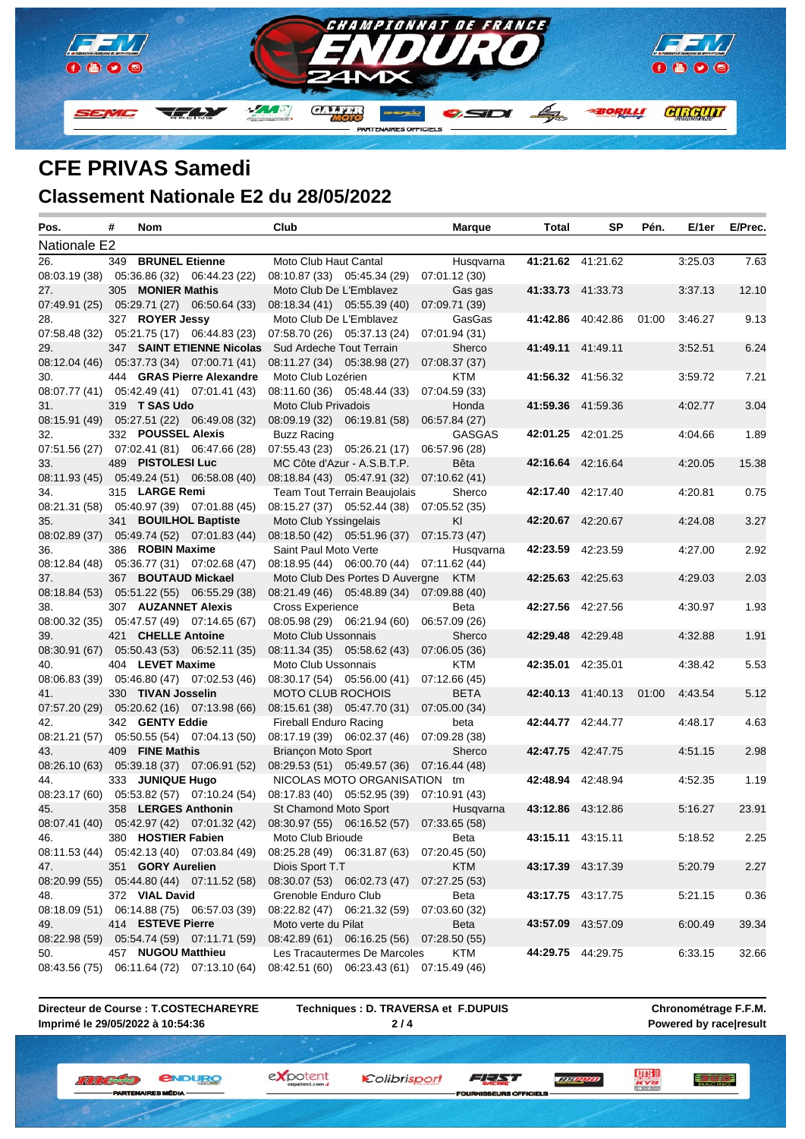

## **CFE PRIVAS Samedi Classement Nationale E2 du 28/05/2022**

| Pos.          | # | Nom                |                                                                                     | Club                     |                                                                           | Marque        | Total | <b>SP</b>               | Pén.  | E/1er   | E/Prec. |
|---------------|---|--------------------|-------------------------------------------------------------------------------------|--------------------------|---------------------------------------------------------------------------|---------------|-------|-------------------------|-------|---------|---------|
| Nationale E2  |   |                    |                                                                                     |                          |                                                                           |               |       |                         |       |         |         |
| 26.           |   | 349 BRUNEL Etienne |                                                                                     | Moto Club Haut Cantal    |                                                                           | Husqvarna     |       | 41:21.62 41:21.62       |       | 3:25.03 | 7.63    |
|               |   |                    | 08:03.19 (38) 05:36.86 (32) 06:44.23 (22)                                           |                          | 08:10.87 (33) 05:45.34 (29)                                               | 07:01.12 (30) |       |                         |       |         |         |
| 27.           |   | 305 MONIER Mathis  |                                                                                     | Moto Club De L'Emblavez  |                                                                           | Gas gas       |       | 41:33.73 41:33.73       |       | 3:37.13 | 12.10   |
|               |   |                    | 07:49.91 (25) 05:29.71 (27) 06:50.64 (33)                                           |                          | 08:18.34 (41) 05:55.39 (40)                                               | 07:09.71 (39) |       |                         |       |         |         |
| 28.           |   | 327 ROYER Jessy    |                                                                                     | Moto Club De L'Emblavez  |                                                                           | GasGas        |       | 41:42.86 40:42.86       | 01:00 | 3:46.27 | 9.13    |
|               |   |                    | 07:58.48 (32) 05:21.75 (17) 06:44.83 (23)                                           |                          | 07:58.70 (26) 05:37.13 (24)                                               | 07:01.94 (31) |       |                         |       |         |         |
| 29.           |   |                    | 347 SAINT ETIENNE Nicolas                                                           | Sud Ardeche Tout Terrain |                                                                           | Sherco        |       | 41:49.11 41:49.11       |       | 3:52.51 | 6.24    |
|               |   |                    | 08:12.04 (46) 05:37.73 (34) 07:00.71 (41)                                           |                          | 08:11.27 (34) 05:38.98 (27)                                               | 07:08.37 (37) |       |                         |       |         |         |
| 30.           |   |                    | 444 GRAS Pierre Alexandre                                                           | Moto Club Lozérien       |                                                                           | KTM           |       | 41:56.32 41:56.32       |       | 3:59.72 | 7.21    |
|               |   |                    | 08:07.77 (41) 05:42.49 (41) 07:01.41 (43)                                           |                          | 08:11.60 (36) 05:48.44 (33)                                               | 07:04.59 (33) |       |                         |       |         |         |
| 31.           |   | 319 T SAS Udo      |                                                                                     | Moto Club Privadois      |                                                                           | Honda         |       | 41:59.36 41:59.36       |       | 4:02.77 | 3.04    |
|               |   |                    | 08:15.91 (49) 05:27.51 (22) 06:49.08 (32)                                           |                          | 08:09.19 (32) 06:19.81 (58)                                               | 06:57.84 (27) |       |                         |       |         |         |
| 32.           |   | 332 POUSSEL Alexis |                                                                                     | <b>Buzz Racing</b>       |                                                                           | <b>GASGAS</b> |       | 42:01.25 42:01.25       |       | 4:04.66 | 1.89    |
|               |   |                    | 07:51.56 (27) 07:02.41 (81) 06:47.66 (28)                                           |                          | $07:55.43(23)$ $05:26.21(17)$                                             | 06:57.96 (28) |       |                         |       |         |         |
| 33.           |   | 489 PISTOLESI Luc  |                                                                                     |                          | MC Côte d'Azur - A.S.B.T.P.                                               | Bêta          |       | 42:16.64 42:16.64       |       | 4:20.05 | 15.38   |
|               |   |                    | 08:11.93 (45) 05:49.24 (51) 06:58.08 (40)                                           |                          | 08:18.84 (43) 05:47.91 (32) 07:10.62 (41)                                 |               |       |                         |       |         |         |
| 34.           |   | 315 LARGE Remi     |                                                                                     |                          | Team Tout Terrain Beaujolais                                              | Sherco        |       | 42:17.40 42:17.40       |       | 4:20.81 | 0.75    |
|               |   |                    | 08:21.31 (58) 05:40.97 (39) 07:01.88 (45)                                           |                          | 08:15.27 (37) 05:52.44 (38) 07:05.52 (35)                                 |               |       |                         |       |         |         |
| 35.           |   |                    | 341 BOUILHOL Baptiste                                                               | Moto Club Yssingelais    |                                                                           | KI            |       | 42:20.67 42:20.67       |       | 4:24.08 | 3.27    |
|               |   |                    | 08:02.89 (37) 05:49.74 (52) 07:01.83 (44)                                           |                          | 08:18.50 (42) 05:51.96 (37) 07:15.73 (47)                                 |               |       |                         |       |         |         |
| 36.           |   | 386 ROBIN Maxime   |                                                                                     | Saint Paul Moto Verte    | 08:18.95 (44) 06:00.70 (44) 07:11.62 (44)                                 | Husqvarna     |       | 42:23.59 42:23.59       |       | 4:27.00 | 2.92    |
| 37.           |   |                    | 08:12.84 (48) 05:36.77 (31) 07:02.68 (47)<br>367 BOUTAUD Mickael                    |                          | Moto Club Des Portes D Auvergne KTM                                       |               |       | 42:25.63 42:25.63       |       | 4:29.03 | 2.03    |
|               |   |                    | 08:18.84 (53) 05:51.22 (55) 06:55.29 (38)                                           |                          | 08:21.49 (46) 05:48.89 (34) 07:09.88 (40)                                 |               |       |                         |       |         |         |
| 38.           |   |                    | 307 AUZANNET Alexis                                                                 | Cross Experience         |                                                                           | Beta          |       | 42:27.56 42:27.56       |       | 4:30.97 | 1.93    |
|               |   |                    | 08:00.32 (35) 05:47.57 (49) 07:14.65 (67)                                           |                          | 08:05.98 (29) 06:21.94 (60)                                               | 06:57.09 (26) |       |                         |       |         |         |
| 39.           |   | 421 CHELLE Antoine |                                                                                     | Moto Club Ussonnais      |                                                                           | Sherco        |       | 42:29.48 42:29.48       |       | 4:32.88 | 1.91    |
|               |   |                    | 08:30.91 (67) 05:50.43 (53) 06:52.11 (35)                                           |                          | 08:11.34 (35) 05:58.62 (43)                                               | 07:06.05 (36) |       |                         |       |         |         |
| 40.           |   | 404 LEVET Maxime   |                                                                                     | Moto Club Ussonnais      |                                                                           | <b>KTM</b>    |       | 42:35.01 42:35.01       |       | 4:38.42 | 5.53    |
|               |   |                    | 08:06.83 (39) 05:46.80 (47) 07:02.53 (46)                                           |                          | 08:30.17 (54) 05:56.00 (41)                                               | 07:12.66 (45) |       |                         |       |         |         |
| 41.           |   | 330 TIVAN Josselin |                                                                                     | <b>MOTO CLUB ROCHOIS</b> |                                                                           | <b>BETA</b>   |       | 42:40.13 41:40.13 01:00 |       | 4:43.54 | 5.12    |
|               |   |                    | 07:57.20 (29) 05:20.62 (16) 07:13.98 (66)                                           |                          | 08:15.61 (38) 05:47.70 (31)                                               | 07:05.00 (34) |       |                         |       |         |         |
| 42.           |   | 342 GENTY Eddie    |                                                                                     | Fireball Enduro Racing   |                                                                           | beta          |       | 42:44.77 42:44.77       |       | 4:48.17 | 4.63    |
|               |   |                    | 08:21.21 (57) 05:50.55 (54) 07:04.13 (50)                                           |                          | 08:17.19 (39) 06:02.37 (46)                                               | 07:09.28 (38) |       |                         |       |         |         |
| 43.           |   | 409 FINE Mathis    |                                                                                     | Briançon Moto Sport      |                                                                           | Sherco        |       | 42:47.75 42:47.75       |       | 4:51.15 | 2.98    |
|               |   |                    | 08:26.10 (63) 05:39.18 (37) 07:06.91 (52)                                           |                          | 08:29.53 (51) 05:49.57 (36) 07:16.44 (48)                                 |               |       |                         |       |         |         |
| 44.           |   | 333 JUNIQUE Hugo   |                                                                                     |                          | NICOLAS MOTO ORGANISATION tm                                              |               |       | 42:48.94 42:48.94       |       | 4:52.35 | 1.19    |
|               |   |                    | 08:23.17 (60) 05:53.82 (57) 07:10.24 (54)                                           |                          | 08:17.83 (40) 05:52.95 (39) 07:10.91 (43)                                 |               |       |                         |       |         |         |
| 45.           |   |                    | 358 LERGES Anthonin                                                                 | St Chamond Moto Sport    |                                                                           | Husqvarna     |       | 43:12.86 43:12.86       |       | 5.16.27 | 23.91   |
|               |   |                    | 08:07.41 (40) 05:42.97 (42) 07:01.32 (42) 08:30.97 (55) 06:16.52 (57) 07:33.65 (58) |                          |                                                                           |               |       |                         |       |         |         |
| 46.           |   | 380 HOSTIER Fabien |                                                                                     | Moto Club Brioude        |                                                                           | Beta          |       | 43:15.11 43:15.11       |       | 5:18.52 | 2.25    |
|               |   |                    | 08:11.53 (44) 05:42.13 (40) 07:03.84 (49)                                           |                          | 08:25.28 (49) 06:31.87 (63)                                               | 07:20.45 (50) |       |                         |       |         |         |
| 47.           |   | 351 GORY Aurelien  |                                                                                     | Diois Sport T.T          |                                                                           | <b>KTM</b>    |       | 43:17.39 43:17.39       |       | 5:20.79 | 2.27    |
|               |   |                    | 08:20.99 (55) 05:44.80 (44) 07:11.52 (58)                                           |                          | 08:30.07 (53) 06:02.73 (47)                                               | 07:27.25 (53) |       |                         |       |         |         |
| 48.           |   | 372 VIAL David     |                                                                                     | Grenoble Enduro Club     |                                                                           | Beta          |       | 43:17.75 43:17.75       |       | 5.21.15 | 0.36    |
|               |   |                    | 08:18.09 (51) 06:14.88 (75) 06:57.03 (39)                                           |                          | 08:22.82 (47) 06:21.32 (59)                                               | 07:03.60 (32) |       |                         |       |         |         |
| 49.           |   | 414 ESTEVE Pierre  |                                                                                     | Moto verte du Pilat      |                                                                           | Beta          |       | 43:57.09 43:57.09       |       | 6:00.49 | 39.34   |
| 08:22.98 (59) |   |                    | 05:54.74 (59) 07:11.71 (59)                                                         |                          | 08:42.89 (61) 06:16.25 (56)                                               | 07:28.50(55)  |       |                         |       |         |         |
| 50.           |   | 457 NUGOU Matthieu | 08:43.56 (75) 06:11.64 (72) 07:13.10 (64)                                           |                          | Les Tracautermes De Marcoles<br>08:42.51 (60) 06:23.43 (61) 07:15.49 (46) | KTM           |       | 44:29.75 44:29.75       |       | 6:33.15 | 32.66   |
|               |   |                    |                                                                                     |                          |                                                                           |               |       |                         |       |         |         |

**Directeur de Course : T.COSTECHAREYRE Imprimé le 29/05/2022 à 10:54:36**

**Techniques : D. TRAVERSA et F.DUPUIS 2 / 4**

expotent

**Chronométrage F.F.M. Powered by race|result**

三方學學

*<u>ENDURO</u>* **W. W. L. Antipolis C. B MÉDIA** 

Colibrisport FEED

EURS OFFIC

**TELEVISIO**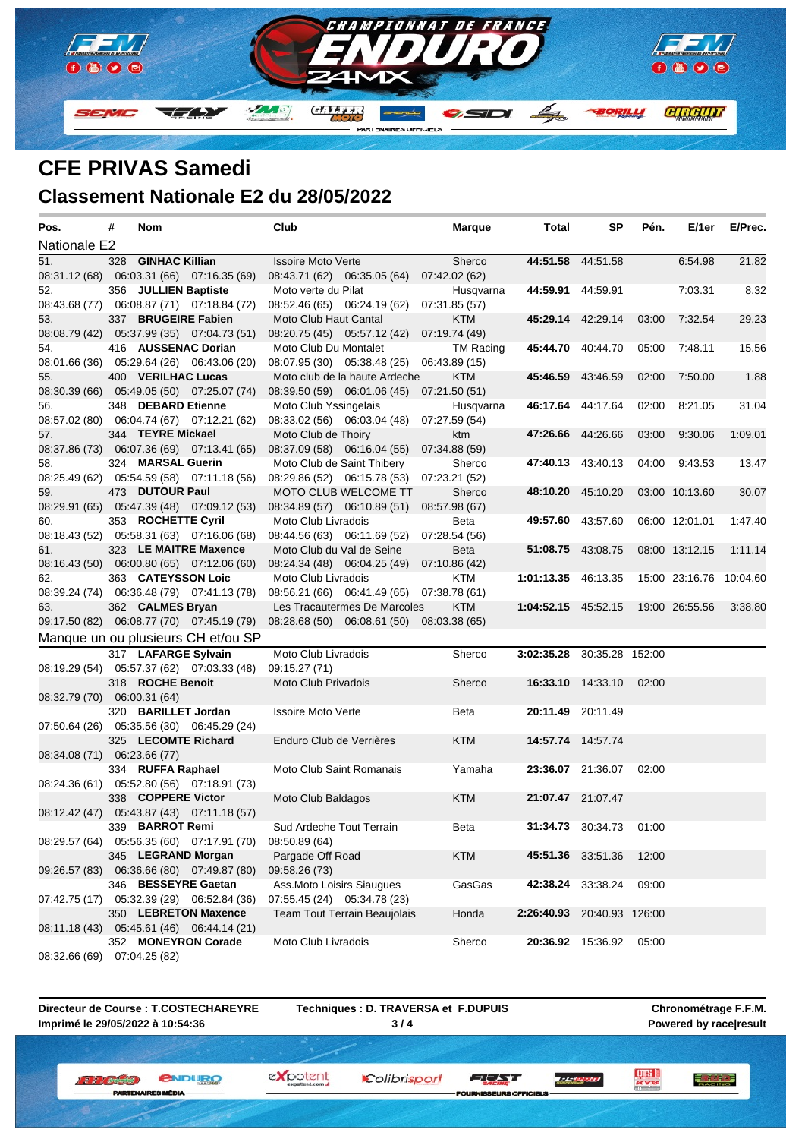

### **CFE PRIVAS Samedi Classement Nationale E2 du 28/05/2022**

| Pos.                        | # | <b>Nom</b>           |                                                                   | Club                      |                                           | <b>Marque</b> | <b>Total</b>               | SP                       | Pén.  | E/1er                   | E/Prec. |
|-----------------------------|---|----------------------|-------------------------------------------------------------------|---------------------------|-------------------------------------------|---------------|----------------------------|--------------------------|-------|-------------------------|---------|
| Nationale E2                |   |                      |                                                                   |                           |                                           |               |                            |                          |       |                         |         |
| 51.                         |   | 328 GINHAC Killian   |                                                                   | <b>Issoire Moto Verte</b> |                                           | Sherco        |                            | 44:51.58 44:51.58        |       | 6:54.98                 | 21.82   |
|                             |   |                      | 08:31.12 (68) 06:03.31 (66) 07:16.35 (69)                         |                           | 08:43.71 (62) 06:35.05 (64)               | 07:42.02 (62) |                            |                          |       |                         |         |
| 52.                         |   | 356 JULLIEN Baptiste |                                                                   | Moto verte du Pilat       |                                           | Husqvarna     |                            | 44:59.91 44:59.91        |       | 7:03.31                 | 8.32    |
|                             |   |                      | 08:43.68 (77) 06:08.87 (71) 07:18.84 (72)                         |                           | 08:52.46 (65) 06:24.19 (62)               | 07:31.85 (57) |                            |                          |       |                         |         |
| 53.                         |   |                      | 337 BRUGEIRE Fabien                                               | Moto Club Haut Cantal     |                                           | KTM           |                            | 45:29.14 42:29.14        | 03:00 | 7:32.54                 | 29.23   |
|                             |   |                      | 08:08.79 (42) 05:37.99 (35) 07:04.73 (51)                         |                           | 08:20.75 (45) 05:57.12 (42)               | 07:19.74 (49) |                            |                          |       |                         |         |
| 54.                         |   |                      | 416 AUSSENAC Dorian                                               | Moto Club Du Montalet     |                                           | TM Racing     |                            | 45:44.70 40:44.70        | 05:00 | 7:48.11                 | 15.56   |
|                             |   |                      | 08:01.66 (36) 05:29.64 (26) 06:43.06 (20)                         |                           | 08:07.95 (30) 05:38.48 (25)               | 06:43.89 (15) |                            |                          |       |                         |         |
| 55.                         |   | 400 VERILHAC Lucas   |                                                                   |                           | Moto club de la haute Ardeche             | <b>KTM</b>    |                            | 45:46.59 43:46.59        | 02:00 | 7:50.00                 | 1.88    |
|                             |   |                      | 08:30.39 (66) 05:49.05 (50) 07:25.07 (74)                         |                           | 08:39.50 (59) 06:01.06 (45)               | 07:21.50 (51) |                            |                          |       |                         |         |
| 56.                         |   | 348 DEBARD Etienne   |                                                                   | Moto Club Yssingelais     |                                           | Husqvarna     |                            | 46:17.64 44:17.64        | 02:00 | 8:21.05                 | 31.04   |
|                             |   |                      | 08:57.02 (80) 06:04.74 (67) 07:12.21 (62)                         |                           | 08:33.02 (56) 06:03.04 (48) 07:27.59 (54) |               |                            |                          |       |                         |         |
| 57.                         |   | 344 TEYRE Mickael    |                                                                   | Moto Club de Thoiry       |                                           | ktm           |                            | 47:26.66 44:26.66        | 03:00 | 9:30.06                 | 1:09.01 |
|                             |   |                      | 08:37.86 (73) 06:07.36 (69) 07:13.41 (65)                         |                           | 08:37.09 (58) 06:16.04 (55) 07:34.88 (59) |               |                            |                          |       |                         |         |
| 58.                         |   | 324 MARSAL Guerin    |                                                                   |                           | Moto Club de Saint Thibery                | Sherco        |                            | 47:40.13 43:40.13        | 04:00 | 9:43.53                 | 13.47   |
|                             |   |                      | 08:25.49 (62) 05:54.59 (58) 07:11.18 (56)                         |                           | 08:29.86 (52) 06:15.78 (53)               | 07:23.21 (52) |                            |                          |       |                         |         |
| 59.                         |   | 473 DUTOUR Paul      |                                                                   |                           | MOTO CLUB WELCOME TT                      | Sherco        |                            | 48:10.20 45:10.20        |       | 03:00 10:13.60          | 30.07   |
|                             |   |                      | 08:29.91 (65) 05:47.39 (48) 07:09.12 (53)                         |                           | 08:34.89 (57) 06:10.89 (51)               | 08:57.98 (67) |                            |                          |       |                         |         |
| 60.                         |   | 353 ROCHETTE Cyril   |                                                                   | Moto Club Livradois       |                                           | <b>Beta</b>   |                            | <b>49:57.60</b> 43:57.60 |       | 06:00 12:01.01          | 1:47.40 |
|                             |   |                      | 08:18.43 (52) 05:58.31 (63) 07:16.06 (68)                         |                           | 08:44.56 (63) 06:11.69 (52) 07:28.54 (56) |               |                            |                          |       |                         |         |
| 61.                         |   |                      | 323 LE MAITRE Maxence                                             |                           | Moto Club du Val de Seine                 | <b>Beta</b>   |                            | 51:08.75 43:08.75        |       | 08:00 13:12.15          | 1:11.14 |
|                             |   |                      | 08:16.43 (50) 06:00.80 (65) 07:12.06 (60)                         |                           | 08:24.34 (48) 06:04.25 (49)               | 07:10.86 (42) |                            |                          |       |                         |         |
| 62.                         |   |                      | 363 CATEYSSON Loic                                                | Moto Club Livradois       |                                           | KTM           | 1:01:13.35 46:13.35        |                          |       | 15:00 23:16.76 10:04.60 |         |
|                             |   |                      | 08:39.24 (74) 06:36.48 (79) 07:41.13 (78)                         |                           | 08:56.21 (66) 06:41.49 (65) 07:38.78 (61) |               |                            |                          |       |                         |         |
| 63.                         |   | 362 CALMES Bryan     |                                                                   |                           | Les Tracautermes De Marcoles              | <b>KTM</b>    | 1:04:52.15 45:52.15        |                          |       | 19:00 26:55.56          | 3:38.80 |
|                             |   |                      | 09:17.50 (82) 06:08.77 (70) 07:45.19 (79)                         |                           | 08:28.68 (50) 06:08.61 (50) 08:03.38 (65) |               |                            |                          |       |                         |         |
|                             |   |                      | Manque un ou plusieurs CH et/ou SP                                |                           |                                           |               |                            |                          |       |                         |         |
|                             |   |                      | 317 LAFARGE Sylvain                                               | Moto Club Livradois       |                                           | Sherco        | 3:02:35.28 30:35.28 152:00 |                          |       |                         |         |
|                             |   |                      | 08:19.29 (54) 05:57.37 (62) 07:03.33 (48)                         | 09:15.27 (71)             |                                           |               |                            |                          |       |                         |         |
|                             |   | 318 ROCHE Benoit     |                                                                   | Moto Club Privadois       |                                           | Sherco        |                            | 16:33.10 14:33.10        | 02:00 |                         |         |
| 08:32.79 (70) 06:00.31 (64) |   |                      |                                                                   |                           |                                           |               |                            |                          |       |                         |         |
|                             |   |                      | 320 BARILLET Jordan                                               | <b>Issoire Moto Verte</b> |                                           | <b>Beta</b>   |                            | 20:11.49 20:11.49        |       |                         |         |
|                             |   |                      | 07:50.64 (26) 05:35.56 (30) 06:45.29 (24)                         |                           |                                           |               |                            |                          |       |                         |         |
|                             |   |                      | 325 LECOMTE Richard                                               | Enduro Club de Verrières  |                                           | <b>KTM</b>    |                            | 14:57.74 14:57.74        |       |                         |         |
| 08:34.08 (71) 06:23.66 (77) |   |                      |                                                                   |                           |                                           |               |                            |                          |       |                         |         |
|                             |   | 334 RUFFA Raphael    |                                                                   |                           | Moto Club Saint Romanais                  | Yamaha        |                            | 23:36.07 21:36.07        | 02:00 |                         |         |
|                             |   |                      | 08:24.36 (61) 05:52.80 (56) 07:18.91 (73)                         |                           |                                           |               |                            |                          |       |                         |         |
|                             |   | 338 COPPERE Victor   |                                                                   | Moto Club Baldagos        |                                           | <b>KTM</b>    |                            | 21:07.47 21:07.47        |       |                         |         |
|                             |   |                      | 08:12.42 (47) 05:43.87 (43) 07:11.18 (57)                         |                           |                                           |               |                            |                          |       |                         |         |
|                             |   | 339 BARROT Remi      |                                                                   | Sud Ardeche Tout Terrain  |                                           | Beta          |                            | 31:34.73 30:34.73        | 01:00 |                         |         |
|                             |   |                      | 08:29.57 (64) 05:56.35 (60) 07:17.91 (70)                         | 08:50.89 (64)             |                                           |               |                            |                          |       |                         |         |
|                             |   |                      | 345 LEGRAND Morgan                                                | Pargade Off Road          |                                           | KTM           |                            | 45:51.36 33:51.36        | 12:00 |                         |         |
|                             |   |                      | 09:26.57 (83) 06:36.66 (80) 07:49.87 (80)                         | 09:58.26 (73)             |                                           |               |                            |                          |       |                         |         |
|                             |   |                      | 346 BESSEYRE Gaetan                                               |                           | Ass.Moto Loisirs Siaugues                 | GasGas        |                            | 42:38.24 33:38.24        | 09:00 |                         |         |
|                             |   |                      | 07:42.75 (17) 05:32.39 (29) 06:52.84 (36)<br>350 LEBRETON Maxence |                           | 07:55.45 (24) 05:34.78 (23)               |               |                            |                          |       |                         |         |
|                             |   |                      | 08:11.18 (43) 05:45.61 (46) 06:44.14 (21)                         |                           | <b>Team Tout Terrain Beaujolais</b>       | Honda         | 2:26:40.93 20:40.93 126:00 |                          |       |                         |         |
|                             |   |                      | 352 MONEYRON Corade                                               | Moto Club Livradois       |                                           |               |                            |                          |       |                         |         |
|                             |   |                      |                                                                   |                           |                                           | Sherco        |                            | <b>20:36.92</b> 15:36.92 | 05:00 |                         |         |
| 08:32.66 (69)               |   | 07:04.25 (82)        |                                                                   |                           |                                           |               |                            |                          |       |                         |         |

**Directeur de Course : T.COSTECHAREYRE Imprimé le 29/05/2022 à 10:54:36**

**Techniques : D. TRAVERSA et F.DUPUIS 3 / 4**

**Chronométrage F.F.M. Powered by race|result**

三方學學

**LUISH**<br>Acres

*<u>ENDURO</u>* **W. W. L. Antipolis C. B MÉDIA** 

Colibrisport

expotent

EURS OFFIC

FEED

**TELEVISIO**